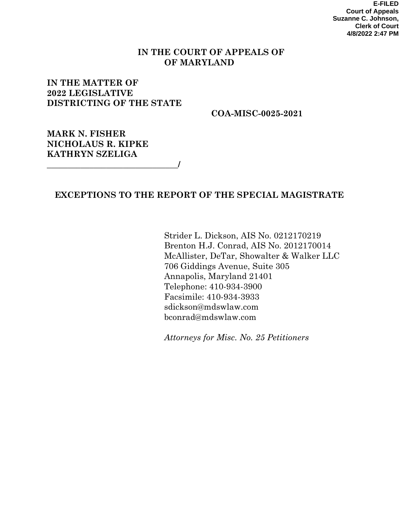**E-FILED Court of Appeals Suzanne C. Johnson, Clerk of Court 4/8/2022 2:47 PM**

### **IN THE COURT OF APPEALS OF OF MARYLAND**

# **IN THE MATTER OF 2022 LEGISLATIVE DISTRICTING OF THE STATE**

**\_\_\_\_\_\_\_\_\_\_\_\_\_\_\_\_\_\_\_\_\_\_\_\_\_\_\_\_\_\_\_/** 

**COA-MISC-0025-2021** 

**MARK N. FISHER NICHOLAUS R. KIPKE KATHRYN SZELIGA** 

### **EXCEPTIONS TO THE REPORT OF THE SPECIAL MAGISTRATE**

Strider L. Dickson, AIS No. 0212170219 Brenton H.J. Conrad, AIS No. 2012170014 McAllister, DeTar, Showalter & Walker LLC 706 Giddings Avenue, Suite 305 Annapolis, Maryland 21401 Telephone: 410-934-3900 Facsimile: 410-934-3933 sdickson@mdswlaw.com bconrad@mdswlaw.com

*Attorneys for Misc. No. 25 Petitioners*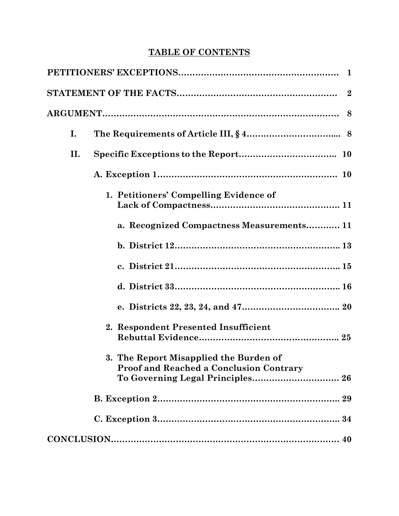# **TABLE OF CONTENTS**

|    | $\overline{\mathbf{2}}$                                                                  |  |  |  |
|----|------------------------------------------------------------------------------------------|--|--|--|
|    |                                                                                          |  |  |  |
| I. |                                                                                          |  |  |  |
| Η. |                                                                                          |  |  |  |
|    |                                                                                          |  |  |  |
|    | 1. Petitioners' Compelling Evidence of                                                   |  |  |  |
|    | a. Recognized Compactness Measurements 11                                                |  |  |  |
|    |                                                                                          |  |  |  |
|    |                                                                                          |  |  |  |
|    |                                                                                          |  |  |  |
|    |                                                                                          |  |  |  |
|    | 2. Respondent Presented Insufficient                                                     |  |  |  |
|    | 3. The Report Misapplied the Burden of<br><b>Proof and Reached a Conclusion Contrary</b> |  |  |  |
|    |                                                                                          |  |  |  |
|    |                                                                                          |  |  |  |
|    |                                                                                          |  |  |  |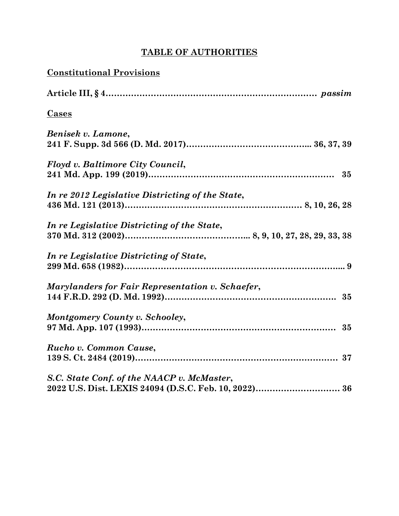# **TABLE OF AUTHORITIES**

| <b>Constitutional Provisions</b>                 |
|--------------------------------------------------|
|                                                  |
| <b>Cases</b>                                     |
| Benisek v. Lamone,                               |
| Floyd v. Baltimore City Council,                 |
| In re 2012 Legislative Districting of the State, |
| In re Legislative Districting of the State,      |
| In re Legislative Districting of State,          |
| Marylanders for Fair Representation v. Schaefer, |
| <b>Montgomery County v. Schooley,</b>            |
| Rucho v. Common Cause,                           |
| S.C. State Conf. of the NAACP v. McMaster,       |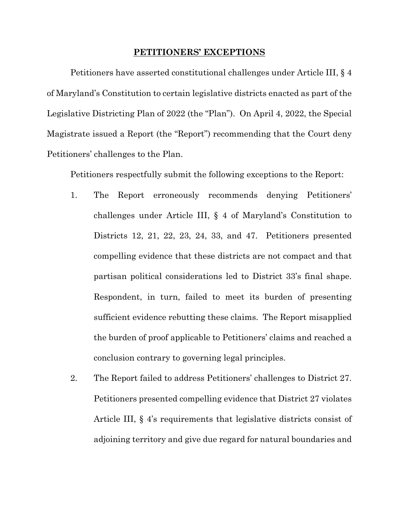#### **PETITIONERS' EXCEPTIONS**

Petitioners have asserted constitutional challenges under Article III, § 4 of Maryland's Constitution to certain legislative districts enacted as part of the Legislative Districting Plan of 2022 (the "Plan"). On April 4, 2022, the Special Magistrate issued a Report (the "Report") recommending that the Court deny Petitioners' challenges to the Plan.

Petitioners respectfully submit the following exceptions to the Report:

- 1. The Report erroneously recommends denying Petitioners' challenges under Article III, § 4 of Maryland's Constitution to Districts 12, 21, 22, 23, 24, 33, and 47. Petitioners presented compelling evidence that these districts are not compact and that partisan political considerations led to District 33's final shape. Respondent, in turn, failed to meet its burden of presenting sufficient evidence rebutting these claims. The Report misapplied the burden of proof applicable to Petitioners' claims and reached a conclusion contrary to governing legal principles.
- 2. The Report failed to address Petitioners' challenges to District 27. Petitioners presented compelling evidence that District 27 violates Article III, § 4's requirements that legislative districts consist of adjoining territory and give due regard for natural boundaries and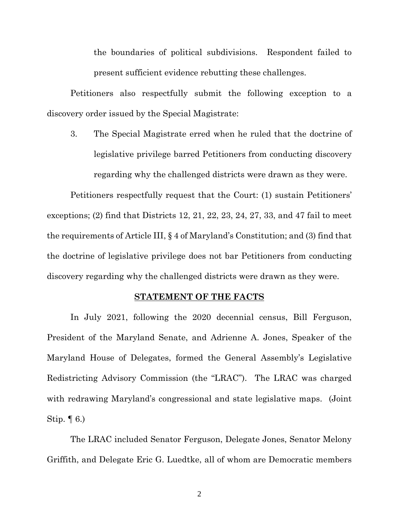the boundaries of political subdivisions. Respondent failed to present sufficient evidence rebutting these challenges.

Petitioners also respectfully submit the following exception to a discovery order issued by the Special Magistrate:

3. The Special Magistrate erred when he ruled that the doctrine of legislative privilege barred Petitioners from conducting discovery regarding why the challenged districts were drawn as they were.

Petitioners respectfully request that the Court: (1) sustain Petitioners' exceptions; (2) find that Districts 12, 21, 22, 23, 24, 27, 33, and 47 fail to meet the requirements of Article III, § 4 of Maryland's Constitution; and (3) find that the doctrine of legislative privilege does not bar Petitioners from conducting discovery regarding why the challenged districts were drawn as they were.

#### **STATEMENT OF THE FACTS**

In July 2021, following the 2020 decennial census, Bill Ferguson, President of the Maryland Senate, and Adrienne A. Jones, Speaker of the Maryland House of Delegates, formed the General Assembly's Legislative Redistricting Advisory Commission (the "LRAC"). The LRAC was charged with redrawing Maryland's congressional and state legislative maps. (Joint Stip. ¶ 6.)

The LRAC included Senator Ferguson, Delegate Jones, Senator Melony Griffith, and Delegate Eric G. Luedtke, all of whom are Democratic members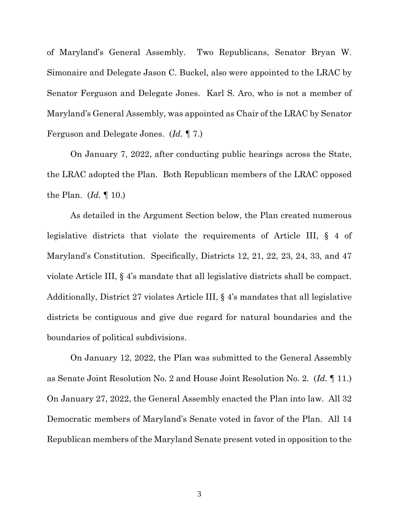of Maryland's General Assembly. Two Republicans, Senator Bryan W. Simonaire and Delegate Jason C. Buckel, also were appointed to the LRAC by Senator Ferguson and Delegate Jones. Karl S. Aro, who is not a member of Maryland's General Assembly, was appointed as Chair of the LRAC by Senator Ferguson and Delegate Jones. (*Id.* ¶ 7.)

On January 7, 2022, after conducting public hearings across the State, the LRAC adopted the Plan. Both Republican members of the LRAC opposed the Plan. (*Id.* ¶ 10.)

As detailed in the Argument Section below, the Plan created numerous legislative districts that violate the requirements of Article III, § 4 of Maryland's Constitution. Specifically, Districts 12, 21, 22, 23, 24, 33, and 47 violate Article III, § 4's mandate that all legislative districts shall be compact. Additionally, District 27 violates Article III, § 4's mandates that all legislative districts be contiguous and give due regard for natural boundaries and the boundaries of political subdivisions.

On January 12, 2022, the Plan was submitted to the General Assembly as Senate Joint Resolution No. 2 and House Joint Resolution No. 2. (*Id.* ¶ 11.) On January 27, 2022, the General Assembly enacted the Plan into law. All 32 Democratic members of Maryland's Senate voted in favor of the Plan. All 14 Republican members of the Maryland Senate present voted in opposition to the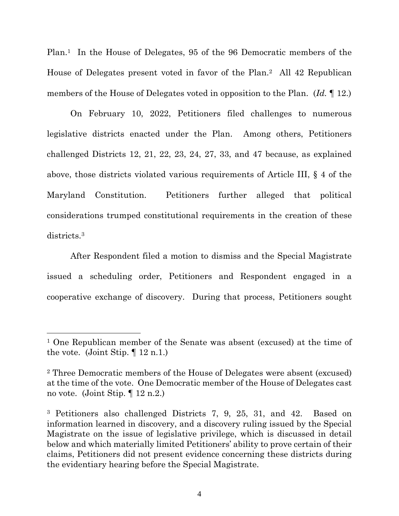Plan.[1](#page-6-0) In the House of Delegates, 95 of the 96 Democratic members of the House of Delegates present voted in favor of the Plan.[2](#page-6-1) All 42 Republican members of the House of Delegates voted in opposition to the Plan. (*Id.* ¶ 12.)

On February 10, 2022, Petitioners filed challenges to numerous legislative districts enacted under the Plan. Among others, Petitioners challenged Districts 12, 21, 22, 23, 24, 27, 33, and 47 because, as explained above, those districts violated various requirements of Article III, § 4 of the Maryland Constitution. Petitioners further alleged that political considerations trumped constitutional requirements in the creation of these districts.[3](#page-6-2)

After Respondent filed a motion to dismiss and the Special Magistrate issued a scheduling order, Petitioners and Respondent engaged in a cooperative exchange of discovery. During that process, Petitioners sought

<span id="page-6-0"></span><sup>1</sup> One Republican member of the Senate was absent (excused) at the time of the vote. (Joint Stip.  $\P$  12 n.1.)

<span id="page-6-1"></span><sup>2</sup> Three Democratic members of the House of Delegates were absent (excused) at the time of the vote. One Democratic member of the House of Delegates cast no vote. (Joint Stip. ¶ 12 n.2.)

<span id="page-6-2"></span><sup>3</sup> Petitioners also challenged Districts 7, 9, 25, 31, and 42. Based on information learned in discovery, and a discovery ruling issued by the Special Magistrate on the issue of legislative privilege, which is discussed in detail below and which materially limited Petitioners' ability to prove certain of their claims, Petitioners did not present evidence concerning these districts during the evidentiary hearing before the Special Magistrate.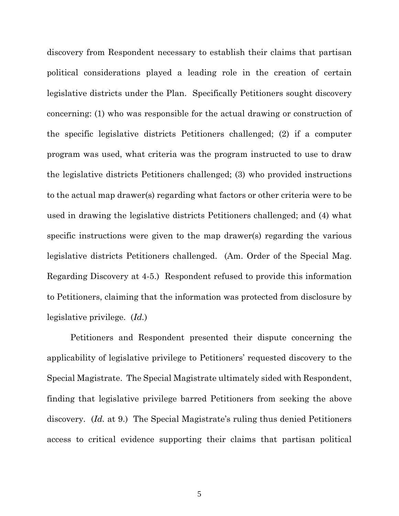discovery from Respondent necessary to establish their claims that partisan political considerations played a leading role in the creation of certain legislative districts under the Plan. Specifically Petitioners sought discovery concerning: (1) who was responsible for the actual drawing or construction of the specific legislative districts Petitioners challenged; (2) if a computer program was used, what criteria was the program instructed to use to draw the legislative districts Petitioners challenged; (3) who provided instructions to the actual map drawer(s) regarding what factors or other criteria were to be used in drawing the legislative districts Petitioners challenged; and (4) what specific instructions were given to the map drawer(s) regarding the various legislative districts Petitioners challenged. (Am. Order of the Special Mag. Regarding Discovery at 4-5.) Respondent refused to provide this information to Petitioners, claiming that the information was protected from disclosure by legislative privilege. (*Id.*)

Petitioners and Respondent presented their dispute concerning the applicability of legislative privilege to Petitioners' requested discovery to the Special Magistrate. The Special Magistrate ultimately sided with Respondent, finding that legislative privilege barred Petitioners from seeking the above discovery. (*Id.* at 9.) The Special Magistrate's ruling thus denied Petitioners access to critical evidence supporting their claims that partisan political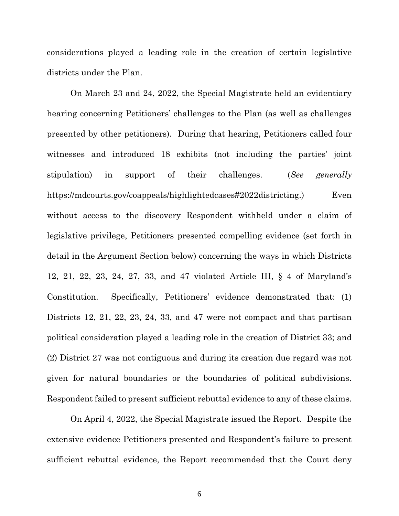considerations played a leading role in the creation of certain legislative districts under the Plan.

On March 23 and 24, 2022, the Special Magistrate held an evidentiary hearing concerning Petitioners' challenges to the Plan (as well as challenges presented by other petitioners). During that hearing, Petitioners called four witnesses and introduced 18 exhibits (not including the parties' joint stipulation) in support of their challenges. (*See generally* https://mdcourts.gov/coappeals/highlightedcases#2022districting.) Even without access to the discovery Respondent withheld under a claim of legislative privilege, Petitioners presented compelling evidence (set forth in detail in the Argument Section below) concerning the ways in which Districts 12, 21, 22, 23, 24, 27, 33, and 47 violated Article III, § 4 of Maryland's Constitution. Specifically, Petitioners' evidence demonstrated that: (1) Districts 12, 21, 22, 23, 24, 33, and 47 were not compact and that partisan political consideration played a leading role in the creation of District 33; and (2) District 27 was not contiguous and during its creation due regard was not given for natural boundaries or the boundaries of political subdivisions. Respondent failed to present sufficient rebuttal evidence to any of these claims.

On April 4, 2022, the Special Magistrate issued the Report. Despite the extensive evidence Petitioners presented and Respondent's failure to present sufficient rebuttal evidence, the Report recommended that the Court deny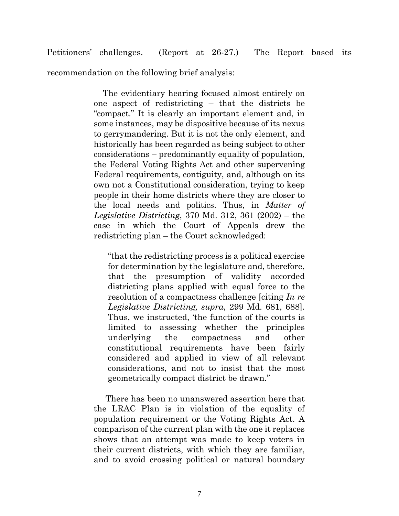Petitioners' challenges. (Report at 26-27.) The Report based its

recommendation on the following brief analysis:

 The evidentiary hearing focused almost entirely on one aspect of redistricting – that the districts be "compact." It is clearly an important element and, in some instances, may be dispositive because of its nexus to gerrymandering. But it is not the only element, and historically has been regarded as being subject to other considerations – predominantly equality of population, the Federal Voting Rights Act and other supervening Federal requirements, contiguity, and, although on its own not a Constitutional consideration, trying to keep people in their home districts where they are closer to the local needs and politics. Thus, in *Matter of Legislative Districting*, 370 Md. 312, 361 (2002) – the case in which the Court of Appeals drew the redistricting plan – the Court acknowledged:

"that the redistricting process is a political exercise for determination by the legislature and, therefore, that the presumption of validity accorded districting plans applied with equal force to the resolution of a compactness challenge [citing *In re Legislative Districting, supra*, 299 Md. 681, 688]. Thus, we instructed, 'the function of the courts is limited to assessing whether the principles underlying the compactness and other constitutional requirements have been fairly considered and applied in view of all relevant considerations, and not to insist that the most geometrically compact district be drawn."

 There has been no unanswered assertion here that the LRAC Plan is in violation of the equality of population requirement or the Voting Rights Act. A comparison of the current plan with the one it replaces shows that an attempt was made to keep voters in their current districts, with which they are familiar, and to avoid crossing political or natural boundary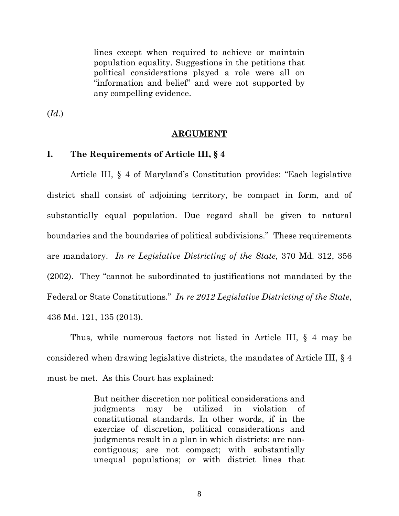lines except when required to achieve or maintain population equality. Suggestions in the petitions that political considerations played a role were all on "information and belief" and were not supported by any compelling evidence.

(*Id*.)

#### **ARGUMENT**

### **I. The Requirements of Article III, § 4**

Article III, § 4 of Maryland's Constitution provides: "Each legislative district shall consist of adjoining territory, be compact in form, and of substantially equal population. Due regard shall be given to natural boundaries and the boundaries of political subdivisions." These requirements are mandatory. *In re Legislative Districting of the State*, 370 Md. 312, 356 (2002). They "cannot be subordinated to justifications not mandated by the Federal or State Constitutions." *In re 2012 Legislative Districting of the State*, 436 Md. 121, 135 (2013).

Thus, while numerous factors not listed in Article III, § 4 may be considered when drawing legislative districts, the mandates of Article III, § 4 must be met. As this Court has explained:

> But neither discretion nor political considerations and judgments may be utilized in violation of constitutional standards. In other words, if in the exercise of discretion, political considerations and judgments result in a plan in which districts: are noncontiguous; are not compact; with substantially unequal populations; or with district lines that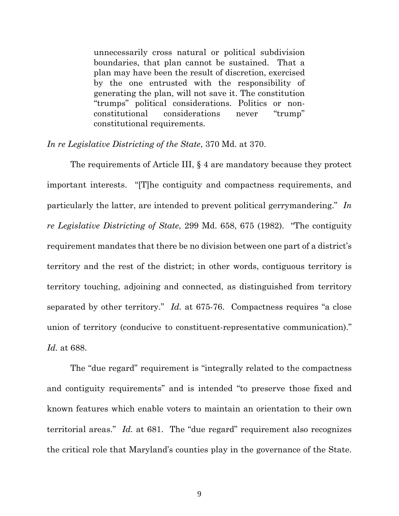unnecessarily cross natural or political subdivision boundaries, that plan cannot be sustained. That a plan may have been the result of discretion, exercised by the one entrusted with the responsibility of generating the plan, will not save it. The constitution "trumps" political considerations. Politics or nonconstitutional considerations never "trump" constitutional requirements.

### *In re Legislative Districting of the State*, 370 Md. at 370.

The requirements of Article III, § 4 are mandatory because they protect important interests. "[T]he contiguity and compactness requirements, and particularly the latter, are intended to prevent political gerrymandering." *In re Legislative Districting of State*, 299 Md. 658, 675 (1982). "The contiguity requirement mandates that there be no division between one part of a district's territory and the rest of the district; in other words, contiguous territory is territory touching, adjoining and connected, as distinguished from territory separated by other territory." *Id.* at 675-76. Compactness requires "a close union of territory (conducive to constituent-representative communication)." *Id.* at 688.

The "due regard" requirement is "integrally related to the compactness and contiguity requirements" and is intended "to preserve those fixed and known features which enable voters to maintain an orientation to their own territorial areas." *Id.* at 681. The "due regard" requirement also recognizes the critical role that Maryland's counties play in the governance of the State.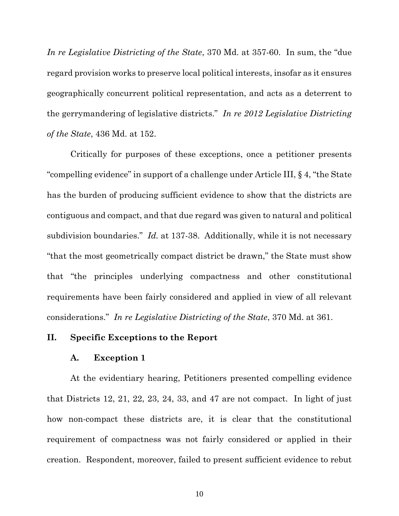*In re Legislative Districting of the State*, 370 Md. at 357-60. In sum, the "due regard provision works to preserve local political interests, insofar as it ensures geographically concurrent political representation, and acts as a deterrent to the gerrymandering of legislative districts." *In re 2012 Legislative Districting of the State*, 436 Md. at 152.

Critically for purposes of these exceptions, once a petitioner presents "compelling evidence" in support of a challenge under Article III, § 4, "the State has the burden of producing sufficient evidence to show that the districts are contiguous and compact, and that due regard was given to natural and political subdivision boundaries." *Id.* at 137-38. Additionally, while it is not necessary "that the most geometrically compact district be drawn," the State must show that "the principles underlying compactness and other constitutional requirements have been fairly considered and applied in view of all relevant considerations." *In re Legislative Districting of the State*, 370 Md. at 361.

### **II. Specific Exceptions to the Report**

#### **A. Exception 1**

At the evidentiary hearing, Petitioners presented compelling evidence that Districts 12, 21, 22, 23, 24, 33, and 47 are not compact. In light of just how non-compact these districts are, it is clear that the constitutional requirement of compactness was not fairly considered or applied in their creation. Respondent, moreover, failed to present sufficient evidence to rebut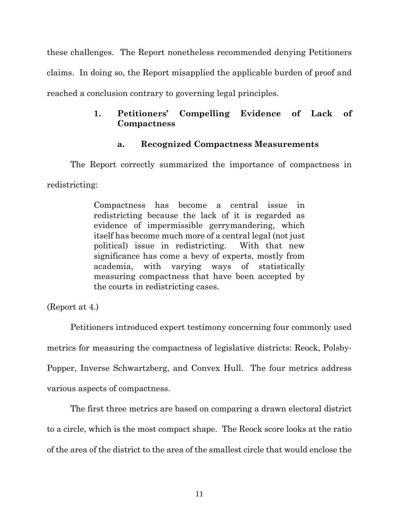these challenges. The Report nonetheless recommended denying Petitioners claims. In doing so, the Report misapplied the applicable burden of proof and reached a conclusion contrary to governing legal principles.

# **1. Petitioners' Compelling Evidence of Lack of Compactness**

# **a. Recognized Compactness Measurements**

The Report correctly summarized the importance of compactness in redistricting:

> Compactness has become a central issue in redistricting because the lack of it is regarded as evidence of impermissible gerrymandering, which itself has become much more of a central legal (not just political) issue in redistricting. With that new significance has come a bevy of experts, mostly from academia, with varying ways of statistically measuring compactness that have been accepted by the courts in redistricting cases.

(Report at 4.)

Petitioners introduced expert testimony concerning four commonly used metrics for measuring the compactness of legislative districts: Reock, Polsby-Popper, Inverse Schwartzberg, and Convex Hull. The four metrics address various aspects of compactness.

The first three metrics are based on comparing a drawn electoral district to a circle, which is the most compact shape. The Reock score looks at the ratio of the area of the district to the area of the smallest circle that would enclose the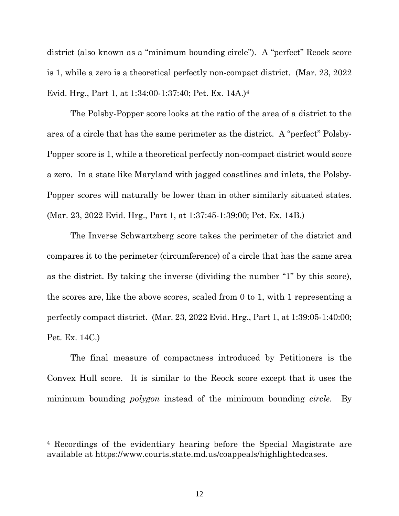district (also known as a "minimum bounding circle"). A "perfect" Reock score is 1, while a zero is a theoretical perfectly non-compact district. (Mar. 23, 2022 Evid. Hrg., Part 1, at 1:34:00-1:37:40; Pet. Ex. 14A.)[4](#page-14-0)

The Polsby-Popper score looks at the ratio of the area of a district to the area of a circle that has the same perimeter as the district. A "perfect" Polsby-Popper score is 1, while a theoretical perfectly non-compact district would score a zero. In a state like Maryland with jagged coastlines and inlets, the Polsby-Popper scores will naturally be lower than in other similarly situated states. (Mar. 23, 2022 Evid. Hrg., Part 1, at 1:37:45-1:39:00; Pet. Ex. 14B.)

The Inverse Schwartzberg score takes the perimeter of the district and compares it to the perimeter (circumference) of a circle that has the same area as the district. By taking the inverse (dividing the number "1" by this score), the scores are, like the above scores, scaled from 0 to 1, with 1 representing a perfectly compact district. (Mar. 23, 2022 Evid. Hrg., Part 1, at 1:39:05-1:40:00; Pet. Ex. 14C.)

The final measure of compactness introduced by Petitioners is the Convex Hull score. It is similar to the Reock score except that it uses the minimum bounding *polygon* instead of the minimum bounding *circle*. By

<span id="page-14-0"></span><sup>4</sup> Recordings of the evidentiary hearing before the Special Magistrate are available at https://www.courts.state.md.us/coappeals/highlightedcases.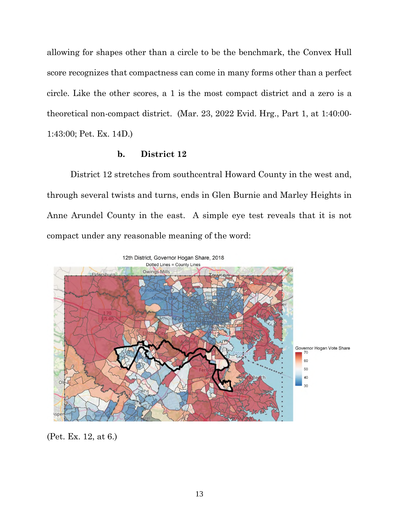allowing for shapes other than a circle to be the benchmark, the Convex Hull score recognizes that compactness can come in many forms other than a perfect circle. Like the other scores, a 1 is the most compact district and a zero is a theoretical non-compact district. (Mar. 23, 2022 Evid. Hrg., Part 1, at 1:40:00- 1:43:00; Pet. Ex. 14D.)

### **b. District 12**

District 12 stretches from southcentral Howard County in the west and, through several twists and turns, ends in Glen Burnie and Marley Heights in Anne Arundel County in the east. A simple eye test reveals that it is not compact under any reasonable meaning of the word:



(Pet. Ex. 12, at 6.)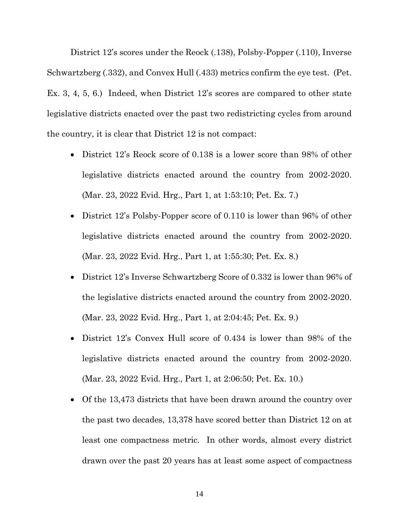District 12's scores under the Reock (.138), Polsby-Popper (.110), Inverse Schwartzberg (.332), and Convex Hull (.433) metrics confirm the eye test. (Pet. Ex. 3, 4, 5, 6.) Indeed, when District 12's scores are compared to other state legislative districts enacted over the past two redistricting cycles from around the country, it is clear that District 12 is not compact:

- District 12's Reock score of 0.138 is a lower score than 98% of other legislative districts enacted around the country from 2002-2020. (Mar. 23, 2022 Evid. Hrg., Part 1, at 1:53:10; Pet. Ex. 7.)
- District 12's Polsby-Popper score of 0.110 is lower than 96% of other legislative districts enacted around the country from 2002-2020. (Mar. 23, 2022 Evid. Hrg., Part 1, at 1:55:30; Pet. Ex. 8.)
- District 12's Inverse Schwartzberg Score of 0.332 is lower than 96% of the legislative districts enacted around the country from 2002-2020. (Mar. 23, 2022 Evid. Hrg., Part 1, at 2:04:45; Pet. Ex. 9.)
- District 12's Convex Hull score of 0.434 is lower than 98% of the legislative districts enacted around the country from 2002-2020. (Mar. 23, 2022 Evid. Hrg., Part 1, at 2:06:50; Pet. Ex. 10.)
- Of the 13,473 districts that have been drawn around the country over the past two decades, 13,378 have scored better than District 12 on at least one compactness metric. In other words, almost every district drawn over the past 20 years has at least some aspect of compactness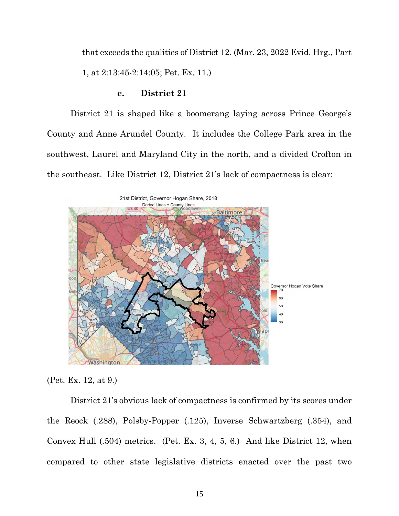that exceeds the qualities of District 12. (Mar. 23, 2022 Evid. Hrg., Part 1, at 2:13:45-2:14:05; Pet. Ex. 11.)

### **c. District 21**

District 21 is shaped like a boomerang laying across Prince George's County and Anne Arundel County. It includes the College Park area in the southwest, Laurel and Maryland City in the north, and a divided Crofton in the southeast. Like District 12, District 21's lack of compactness is clear:



(Pet. Ex. 12, at 9.)

District 21's obvious lack of compactness is confirmed by its scores under the Reock (.288), Polsby-Popper (.125), Inverse Schwartzberg (.354), and Convex Hull (.504) metrics. (Pet. Ex. 3, 4, 5, 6.) And like District 12, when compared to other state legislative districts enacted over the past two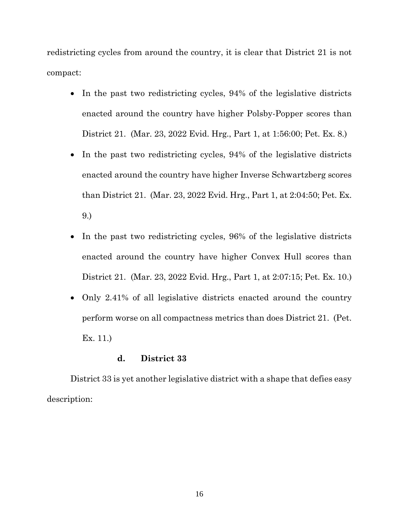redistricting cycles from around the country, it is clear that District 21 is not compact:

- In the past two redistricting cycles, 94% of the legislative districts enacted around the country have higher Polsby-Popper scores than District 21. (Mar. 23, 2022 Evid. Hrg., Part 1, at 1:56:00; Pet. Ex. 8.)
- In the past two redistricting cycles, 94% of the legislative districts enacted around the country have higher Inverse Schwartzberg scores than District 21. (Mar. 23, 2022 Evid. Hrg., Part 1, at 2:04:50; Pet. Ex. 9.)
- In the past two redistricting cycles, 96% of the legislative districts enacted around the country have higher Convex Hull scores than District 21. (Mar. 23, 2022 Evid. Hrg., Part 1, at 2:07:15; Pet. Ex. 10.)
- Only 2.41% of all legislative districts enacted around the country perform worse on all compactness metrics than does District 21. (Pet. Ex. 11.)

### **d. District 33**

District 33 is yet another legislative district with a shape that defies easy description: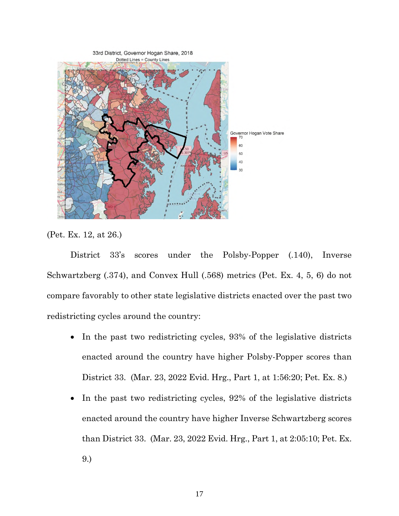

(Pet. Ex. 12, at 26.)

District 33's scores under the Polsby-Popper (.140), Inverse Schwartzberg (.374), and Convex Hull (.568) metrics (Pet. Ex. 4, 5, 6) do not compare favorably to other state legislative districts enacted over the past two redistricting cycles around the country:

- In the past two redistricting cycles, 93% of the legislative districts enacted around the country have higher Polsby-Popper scores than District 33. (Mar. 23, 2022 Evid. Hrg., Part 1, at 1:56:20; Pet. Ex. 8.)
- In the past two redistricting cycles, 92% of the legislative districts enacted around the country have higher Inverse Schwartzberg scores than District 33. (Mar. 23, 2022 Evid. Hrg., Part 1, at 2:05:10; Pet. Ex. 9.)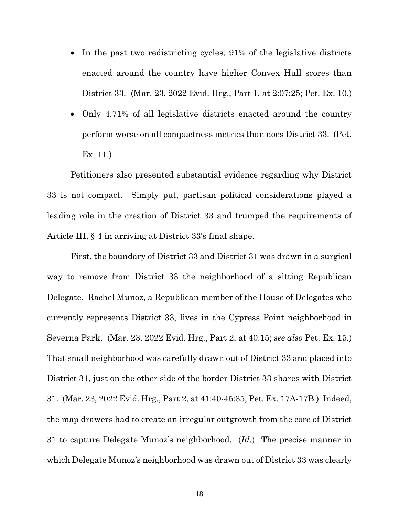- In the past two redistricting cycles, 91% of the legislative districts enacted around the country have higher Convex Hull scores than District 33. (Mar. 23, 2022 Evid. Hrg., Part 1, at 2:07:25; Pet. Ex. 10.)
- Only 4.71% of all legislative districts enacted around the country perform worse on all compactness metrics than does District 33. (Pet. Ex. 11.)

Petitioners also presented substantial evidence regarding why District 33 is not compact. Simply put, partisan political considerations played a leading role in the creation of District 33 and trumped the requirements of Article III, § 4 in arriving at District 33's final shape.

First, the boundary of District 33 and District 31 was drawn in a surgical way to remove from District 33 the neighborhood of a sitting Republican Delegate. Rachel Munoz, a Republican member of the House of Delegates who currently represents District 33, lives in the Cypress Point neighborhood in Severna Park. (Mar. 23, 2022 Evid. Hrg., Part 2, at 40:15; *see also* Pet. Ex. 15.) That small neighborhood was carefully drawn out of District 33 and placed into District 31, just on the other side of the border District 33 shares with District 31. (Mar. 23, 2022 Evid. Hrg., Part 2, at 41:40-45:35; Pet. Ex. 17A-17B.) Indeed, the map drawers had to create an irregular outgrowth from the core of District 31 to capture Delegate Munoz's neighborhood. (*Id.*) The precise manner in which Delegate Munoz's neighborhood was drawn out of District 33 was clearly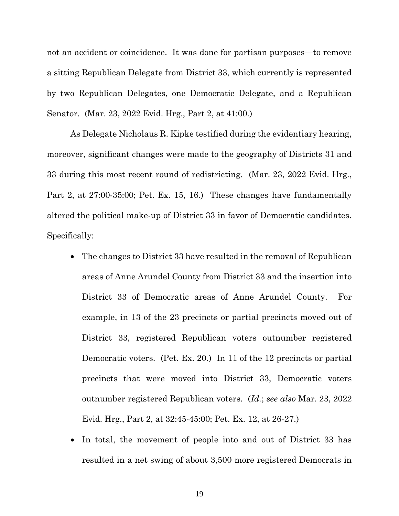not an accident or coincidence. It was done for partisan purposes—to remove a sitting Republican Delegate from District 33, which currently is represented by two Republican Delegates, one Democratic Delegate, and a Republican Senator. (Mar. 23, 2022 Evid. Hrg., Part 2, at 41:00.)

As Delegate Nicholaus R. Kipke testified during the evidentiary hearing, moreover, significant changes were made to the geography of Districts 31 and 33 during this most recent round of redistricting. (Mar. 23, 2022 Evid. Hrg., Part 2, at 27:00-35:00; Pet. Ex. 15, 16.) These changes have fundamentally altered the political make-up of District 33 in favor of Democratic candidates. Specifically:

- The changes to District 33 have resulted in the removal of Republican areas of Anne Arundel County from District 33 and the insertion into District 33 of Democratic areas of Anne Arundel County. For example, in 13 of the 23 precincts or partial precincts moved out of District 33, registered Republican voters outnumber registered Democratic voters. (Pet. Ex. 20.) In 11 of the 12 precincts or partial precincts that were moved into District 33, Democratic voters outnumber registered Republican voters. (*Id.*; *see also* Mar. 23, 2022 Evid. Hrg., Part 2, at 32:45-45:00; Pet. Ex. 12, at 26-27.)
- In total, the movement of people into and out of District 33 has resulted in a net swing of about 3,500 more registered Democrats in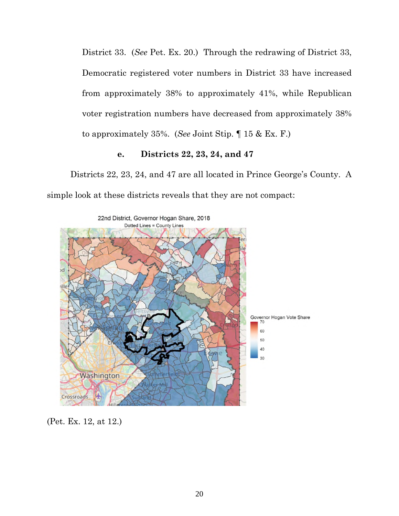District 33. (*See* Pet. Ex. 20.) Through the redrawing of District 33, Democratic registered voter numbers in District 33 have increased from approximately 38% to approximately 41%, while Republican voter registration numbers have decreased from approximately 38% to approximately 35%. (*See* Joint Stip. ¶ 15 & Ex. F.)

### **e. Districts 22, 23, 24, and 47**

Districts 22, 23, 24, and 47 are all located in Prince George's County. A simple look at these districts reveals that they are not compact:



(Pet. Ex. 12, at 12.)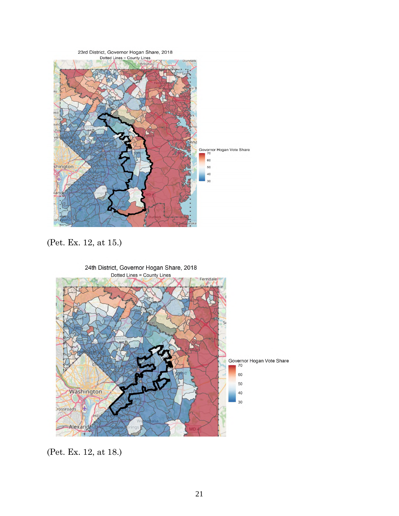

(Pet. Ex. 12, at 15.)



(Pet. Ex. 12, at 18.)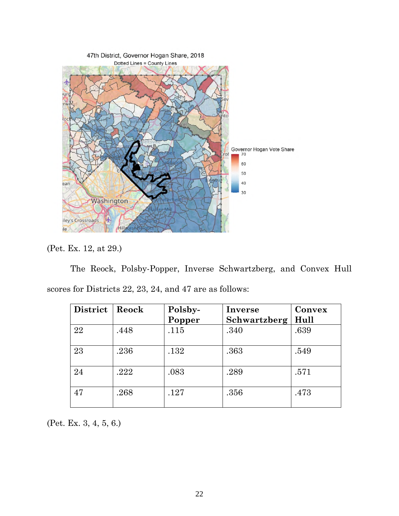

(Pet. Ex. 12, at 29.)

The Reock, Polsby-Popper, Inverse Schwartzberg, and Convex Hull scores for Districts 22, 23, 24, and 47 are as follows:

| <b>District</b> | Reock | Polsby- | Inverse      | Convex |
|-----------------|-------|---------|--------------|--------|
|                 |       | Popper  | Schwartzberg | Hull   |
| 22              | .448  | .115    | .340         | .639   |
| 23              | .236  | .132    | .363         | .549   |
| 24              | .222  | .083    | .289         | .571   |
| 47              | .268  | .127    | .356         | .473   |

(Pet. Ex. 3, 4, 5, 6.)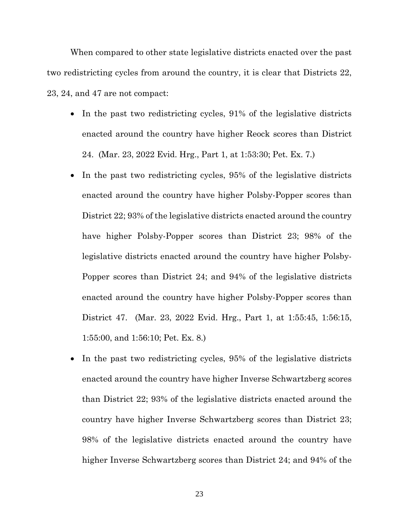When compared to other state legislative districts enacted over the past two redistricting cycles from around the country, it is clear that Districts 22, 23, 24, and 47 are not compact:

- In the past two redistricting cycles, 91% of the legislative districts enacted around the country have higher Reock scores than District 24. (Mar. 23, 2022 Evid. Hrg., Part 1, at 1:53:30; Pet. Ex. 7.)
- In the past two redistricting cycles, 95% of the legislative districts enacted around the country have higher Polsby-Popper scores than District 22; 93% of the legislative districts enacted around the country have higher Polsby-Popper scores than District 23; 98% of the legislative districts enacted around the country have higher Polsby-Popper scores than District 24; and 94% of the legislative districts enacted around the country have higher Polsby-Popper scores than District 47. (Mar. 23, 2022 Evid. Hrg., Part 1, at 1:55:45, 1:56:15, 1:55:00, and 1:56:10; Pet. Ex. 8.)
- In the past two redistricting cycles, 95% of the legislative districts enacted around the country have higher Inverse Schwartzberg scores than District 22; 93% of the legislative districts enacted around the country have higher Inverse Schwartzberg scores than District 23; 98% of the legislative districts enacted around the country have higher Inverse Schwartzberg scores than District 24; and 94% of the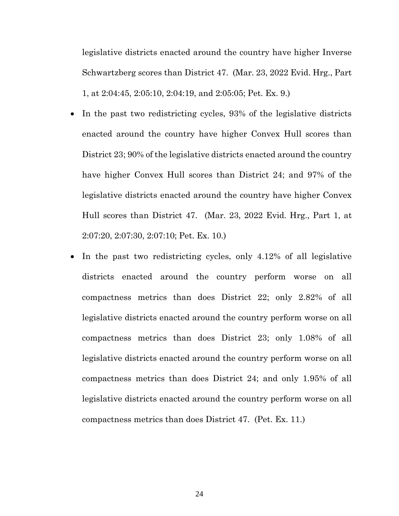legislative districts enacted around the country have higher Inverse Schwartzberg scores than District 47. (Mar. 23, 2022 Evid. Hrg., Part 1, at 2:04:45, 2:05:10, 2:04:19, and 2:05:05; Pet. Ex. 9.)

- In the past two redistricting cycles, 93% of the legislative districts enacted around the country have higher Convex Hull scores than District 23; 90% of the legislative districts enacted around the country have higher Convex Hull scores than District 24; and 97% of the legislative districts enacted around the country have higher Convex Hull scores than District 47. (Mar. 23, 2022 Evid. Hrg., Part 1, at 2:07:20, 2:07:30, 2:07:10; Pet. Ex. 10.)
- In the past two redistricting cycles, only 4.12% of all legislative districts enacted around the country perform worse on all compactness metrics than does District 22; only 2.82% of all legislative districts enacted around the country perform worse on all compactness metrics than does District 23; only 1.08% of all legislative districts enacted around the country perform worse on all compactness metrics than does District 24; and only 1.95% of all legislative districts enacted around the country perform worse on all compactness metrics than does District 47. (Pet. Ex. 11.)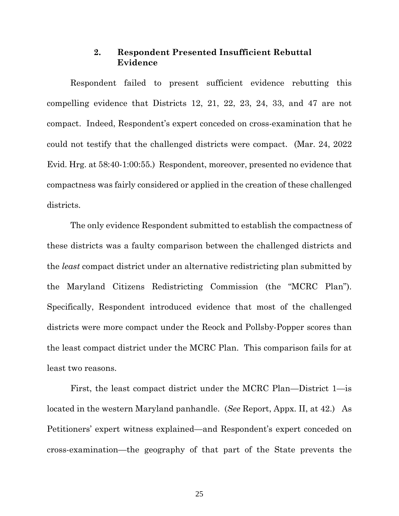### **2. Respondent Presented Insufficient Rebuttal Evidence**

Respondent failed to present sufficient evidence rebutting this compelling evidence that Districts 12, 21, 22, 23, 24, 33, and 47 are not compact. Indeed, Respondent's expert conceded on cross-examination that he could not testify that the challenged districts were compact. (Mar. 24, 2022 Evid. Hrg. at 58:40-1:00:55.) Respondent, moreover, presented no evidence that compactness was fairly considered or applied in the creation of these challenged districts.

The only evidence Respondent submitted to establish the compactness of these districts was a faulty comparison between the challenged districts and the *least* compact district under an alternative redistricting plan submitted by the Maryland Citizens Redistricting Commission (the "MCRC Plan"). Specifically, Respondent introduced evidence that most of the challenged districts were more compact under the Reock and Pollsby-Popper scores than the least compact district under the MCRC Plan. This comparison fails for at least two reasons.

First, the least compact district under the MCRC Plan—District 1—is located in the western Maryland panhandle. (*See* Report, Appx. II, at 42.) As Petitioners' expert witness explained—and Respondent's expert conceded on cross-examination—the geography of that part of the State prevents the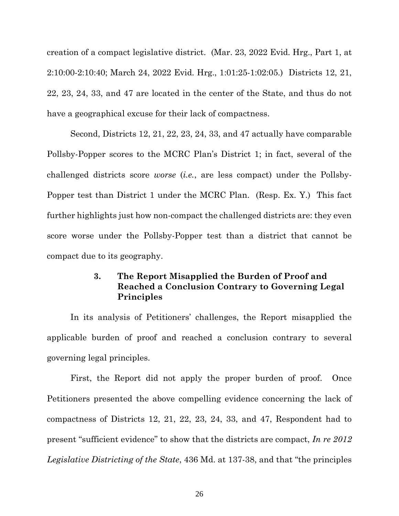creation of a compact legislative district. (Mar. 23, 2022 Evid. Hrg., Part 1, at 2:10:00-2:10:40; March 24, 2022 Evid. Hrg., 1:01:25-1:02:05.) Districts 12, 21, 22, 23, 24, 33, and 47 are located in the center of the State, and thus do not have a geographical excuse for their lack of compactness.

Second, Districts 12, 21, 22, 23, 24, 33, and 47 actually have comparable Pollsby-Popper scores to the MCRC Plan's District 1; in fact, several of the challenged districts score *worse* (*i.e.*, are less compact) under the Pollsby-Popper test than District 1 under the MCRC Plan. (Resp. Ex. Y.) This fact further highlights just how non-compact the challenged districts are: they even score worse under the Pollsby-Popper test than a district that cannot be compact due to its geography.

## **3. The Report Misapplied the Burden of Proof and Reached a Conclusion Contrary to Governing Legal Principles**

In its analysis of Petitioners' challenges, the Report misapplied the applicable burden of proof and reached a conclusion contrary to several governing legal principles.

First, the Report did not apply the proper burden of proof. Once Petitioners presented the above compelling evidence concerning the lack of compactness of Districts 12, 21, 22, 23, 24, 33, and 47, Respondent had to present "sufficient evidence" to show that the districts are compact, *In re 2012 Legislative Districting of the State*, 436 Md. at 137-38, and that "the principles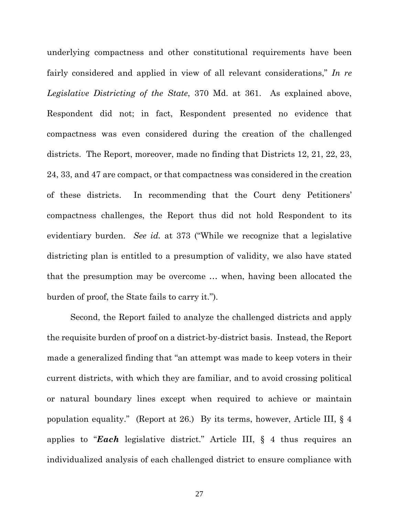underlying compactness and other constitutional requirements have been fairly considered and applied in view of all relevant considerations," *In re Legislative Districting of the State*, 370 Md. at 361. As explained above, Respondent did not; in fact, Respondent presented no evidence that compactness was even considered during the creation of the challenged districts. The Report, moreover, made no finding that Districts 12, 21, 22, 23, 24, 33, and 47 are compact, or that compactness was considered in the creation of these districts. In recommending that the Court deny Petitioners' compactness challenges, the Report thus did not hold Respondent to its evidentiary burden. *See id.* at 373 ("While we recognize that a legislative districting plan is entitled to a presumption of validity, we also have stated that the presumption may be overcome … when, having been allocated the burden of proof, the State fails to carry it.").

Second, the Report failed to analyze the challenged districts and apply the requisite burden of proof on a district-by-district basis. Instead, the Report made a generalized finding that "an attempt was made to keep voters in their current districts, with which they are familiar, and to avoid crossing political or natural boundary lines except when required to achieve or maintain population equality." (Report at 26.) By its terms, however, Article III, § 4 applies to "*Each* legislative district." Article III, § 4 thus requires an individualized analysis of each challenged district to ensure compliance with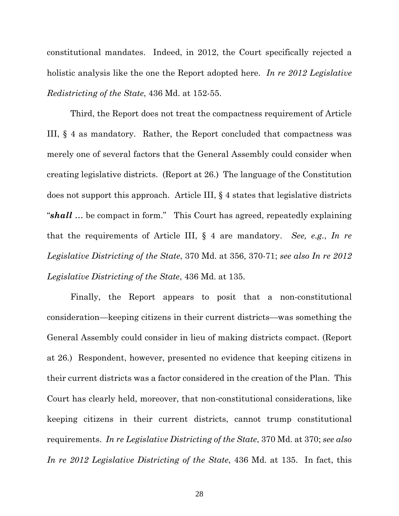constitutional mandates. Indeed, in 2012, the Court specifically rejected a holistic analysis like the one the Report adopted here. *In re 2012 Legislative Redistricting of the State*, 436 Md. at 152-55.

Third, the Report does not treat the compactness requirement of Article III, § 4 as mandatory. Rather, the Report concluded that compactness was merely one of several factors that the General Assembly could consider when creating legislative districts. (Report at 26.) The language of the Constitution does not support this approach. Article III, § 4 states that legislative districts "*shall* … be compact in form." This Court has agreed, repeatedly explaining that the requirements of Article III, § 4 are mandatory. *See, e.g.*, *In re Legislative Districting of the State*, 370 Md. at 356, 370-71; *see also In re 2012 Legislative Districting of the State*, 436 Md. at 135.

Finally, the Report appears to posit that a non-constitutional consideration—keeping citizens in their current districts—was something the General Assembly could consider in lieu of making districts compact. (Report at 26.) Respondent, however, presented no evidence that keeping citizens in their current districts was a factor considered in the creation of the Plan. This Court has clearly held, moreover, that non-constitutional considerations, like keeping citizens in their current districts, cannot trump constitutional requirements. *In re Legislative Districting of the State*, 370 Md. at 370; *see also In re 2012 Legislative Districting of the State*, 436 Md. at 135. In fact, this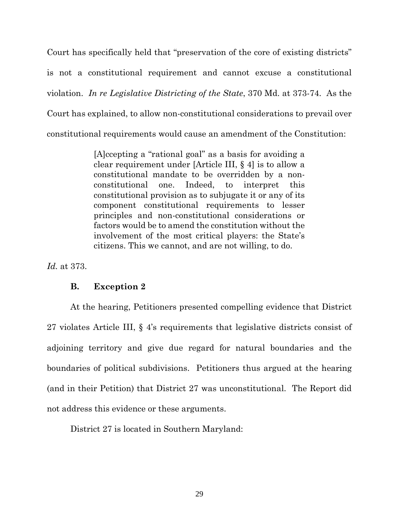Court has specifically held that "preservation of the core of existing districts" is not a constitutional requirement and cannot excuse a constitutional violation. *In re Legislative Districting of the State*, 370 Md. at 373-74. As the Court has explained, to allow non-constitutional considerations to prevail over constitutional requirements would cause an amendment of the Constitution:

> [A]ccepting a "rational goal" as a basis for avoiding a clear requirement under [Article III, § 4] is to allow a constitutional mandate to be overridden by a nonconstitutional one. Indeed, to interpret this constitutional provision as to subjugate it or any of its component constitutional requirements to lesser principles and non-constitutional considerations or factors would be to amend the constitution without the involvement of the most critical players: the State's citizens. This we cannot, and are not willing, to do.

*Id.* at 373.

### **B. Exception 2**

At the hearing, Petitioners presented compelling evidence that District 27 violates Article III, § 4's requirements that legislative districts consist of adjoining territory and give due regard for natural boundaries and the boundaries of political subdivisions. Petitioners thus argued at the hearing (and in their Petition) that District 27 was unconstitutional. The Report did not address this evidence or these arguments.

District 27 is located in Southern Maryland: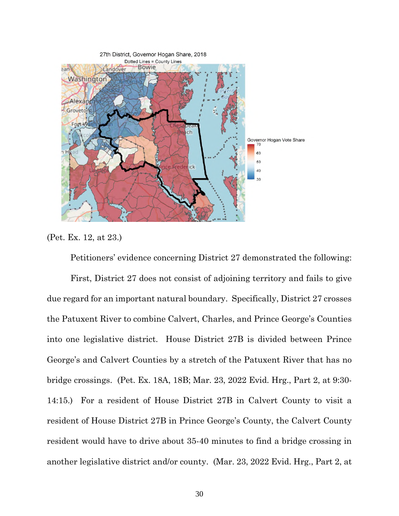

### (Pet. Ex. 12, at 23.)

Petitioners' evidence concerning District 27 demonstrated the following:

First, District 27 does not consist of adjoining territory and fails to give due regard for an important natural boundary. Specifically, District 27 crosses the Patuxent River to combine Calvert, Charles, and Prince George's Counties into one legislative district. House District 27B is divided between Prince George's and Calvert Counties by a stretch of the Patuxent River that has no bridge crossings. (Pet. Ex. 18A, 18B; Mar. 23, 2022 Evid. Hrg., Part 2, at 9:30- 14:15.) For a resident of House District 27B in Calvert County to visit a resident of House District 27B in Prince George's County, the Calvert County resident would have to drive about 35-40 minutes to find a bridge crossing in another legislative district and/or county. (Mar. 23, 2022 Evid. Hrg., Part 2, at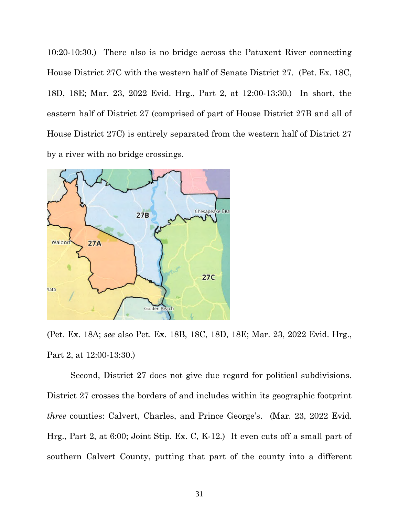10:20-10:30.) There also is no bridge across the Patuxent River connecting House District 27C with the western half of Senate District 27. (Pet. Ex. 18C, 18D, 18E; Mar. 23, 2022 Evid. Hrg., Part 2, at 12:00-13:30.) In short, the eastern half of District 27 (comprised of part of House District 27B and all of House District 27C) is entirely separated from the western half of District 27 by a river with no bridge crossings.



(Pet. Ex. 18A; *see* also Pet. Ex. 18B, 18C, 18D, 18E; Mar. 23, 2022 Evid. Hrg., Part 2, at 12:00-13:30.)

Second, District 27 does not give due regard for political subdivisions. District 27 crosses the borders of and includes within its geographic footprint *three* counties: Calvert, Charles, and Prince George's. (Mar. 23, 2022 Evid. Hrg., Part 2, at 6:00; Joint Stip. Ex. C, K-12.) It even cuts off a small part of southern Calvert County, putting that part of the county into a different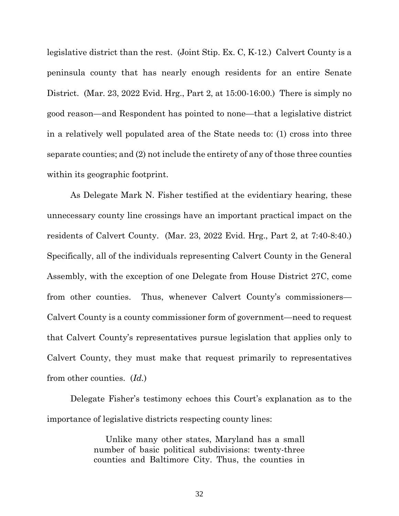legislative district than the rest. (Joint Stip. Ex. C, K-12.) Calvert County is a peninsula county that has nearly enough residents for an entire Senate District. (Mar. 23, 2022 Evid. Hrg., Part 2, at 15:00-16:00.) There is simply no good reason—and Respondent has pointed to none—that a legislative district in a relatively well populated area of the State needs to: (1) cross into three separate counties; and (2) not include the entirety of any of those three counties within its geographic footprint.

As Delegate Mark N. Fisher testified at the evidentiary hearing, these unnecessary county line crossings have an important practical impact on the residents of Calvert County. (Mar. 23, 2022 Evid. Hrg., Part 2, at 7:40-8:40.) Specifically, all of the individuals representing Calvert County in the General Assembly, with the exception of one Delegate from House District 27C, come from other counties. Thus, whenever Calvert County's commissioners— Calvert County is a county commissioner form of government—need to request that Calvert County's representatives pursue legislation that applies only to Calvert County, they must make that request primarily to representatives from other counties. (*Id.*)

Delegate Fisher's testimony echoes this Court's explanation as to the importance of legislative districts respecting county lines:

> Unlike many other states, Maryland has a small number of basic political subdivisions: twenty-three counties and Baltimore City. Thus, the counties in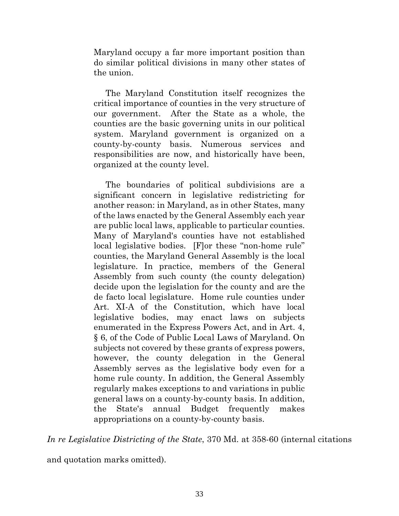Maryland occupy a far more important position than do similar political divisions in many other states of the union.

 The Maryland Constitution itself recognizes the critical importance of counties in the very structure of our government. After the State as a whole, the counties are the basic governing units in our political system. Maryland government is organized on a county-by-county basis. Numerous services and responsibilities are now, and historically have been, organized at the county level.

 The boundaries of political subdivisions are a significant concern in legislative redistricting for another reason: in Maryland, as in other States, many of the laws enacted by the General Assembly each year are public local laws, applicable to particular counties. Many of Maryland's counties have not established local legislative bodies. [F]or these "non-home rule" counties, the Maryland General Assembly is the local legislature. In practice, members of the General Assembly from such county (the county delegation) decide upon the legislation for the county and are the de facto local legislature. Home rule counties under Art. XI-A of the Constitution, which have local legislative bodies, may enact laws on subjects enumerated in the Express Powers Act, and in Art. 4, § 6, of the Code of Public Local Laws of Maryland. On subjects not covered by these grants of express powers, however, the county delegation in the General Assembly serves as the legislative body even for a home rule county. In addition, the General Assembly regularly makes exceptions to and variations in public general laws on a county-by-county basis. In addition, the State's annual Budget frequently makes appropriations on a county-by-county basis.

*In re Legislative Districting of the State*, 370 Md. at 358-60 (internal citations

and quotation marks omitted).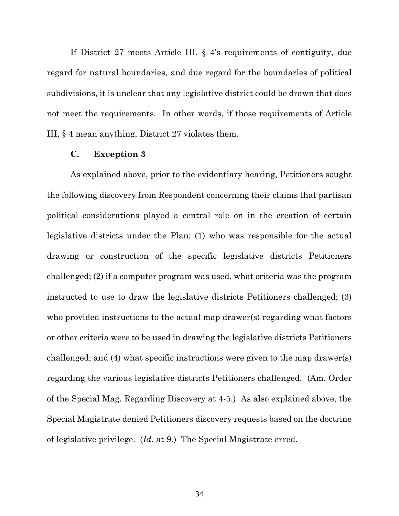If District 27 meets Article III, § 4's requirements of contiguity, due regard for natural boundaries, and due regard for the boundaries of political subdivisions, it is unclear that any legislative district could be drawn that does not meet the requirements. In other words, if those requirements of Article III, § 4 mean anything, District 27 violates them.

#### **C. Exception 3**

As explained above, prior to the evidentiary hearing, Petitioners sought the following discovery from Respondent concerning their claims that partisan political considerations played a central role on in the creation of certain legislative districts under the Plan: (1) who was responsible for the actual drawing or construction of the specific legislative districts Petitioners challenged; (2) if a computer program was used, what criteria was the program instructed to use to draw the legislative districts Petitioners challenged; (3) who provided instructions to the actual map drawer(s) regarding what factors or other criteria were to be used in drawing the legislative districts Petitioners challenged; and (4) what specific instructions were given to the map drawer(s) regarding the various legislative districts Petitioners challenged. (Am. Order of the Special Mag. Regarding Discovery at 4-5.) As also explained above, the Special Magistrate denied Petitioners discovery requests based on the doctrine of legislative privilege. (*Id.* at 9.) The Special Magistrate erred.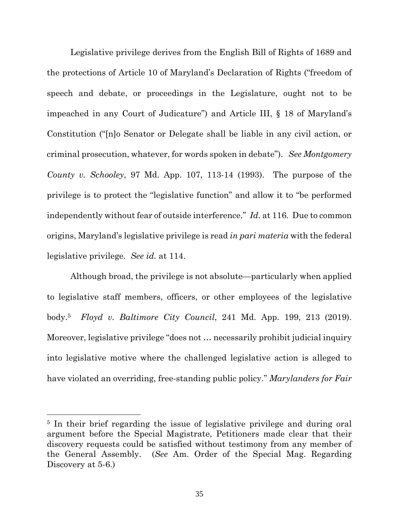Legislative privilege derives from the English Bill of Rights of 1689 and the protections of Article 10 of Maryland's Declaration of Rights ("freedom of speech and debate, or proceedings in the Legislature, ought not to be impeached in any Court of Judicature") and Article III, § 18 of Maryland's Constitution ("[n]o Senator or Delegate shall be liable in any civil action, or criminal prosecution, whatever, for words spoken in debate"). *See Montgomery County v. Schooley*, 97 Md. App. 107, 113-14 (1993). The purpose of the privilege is to protect the "legislative function" and allow it to "be performed independently without fear of outside interference." *Id.* at 116. Due to common origins, Maryland's legislative privilege is read *in pari materia* with the federal legislative privilege. *See id.* at 114.

Although broad, the privilege is not absolute—particularly when applied to legislative staff members, officers, or other employees of the legislative body.[5](#page-37-0) *Floyd v. Baltimore City Council*, 241 Md. App. 199, 213 (2019). Moreover, legislative privilege "does not … necessarily prohibit judicial inquiry into legislative motive where the challenged legislative action is alleged to have violated an overriding, free-standing public policy." *Marylanders for Fair* 

<span id="page-37-0"></span><sup>5</sup> In their brief regarding the issue of legislative privilege and during oral argument before the Special Magistrate, Petitioners made clear that their discovery requests could be satisfied without testimony from any member of the General Assembly. (*See* Am. Order of the Special Mag. Regarding Discovery at 5-6.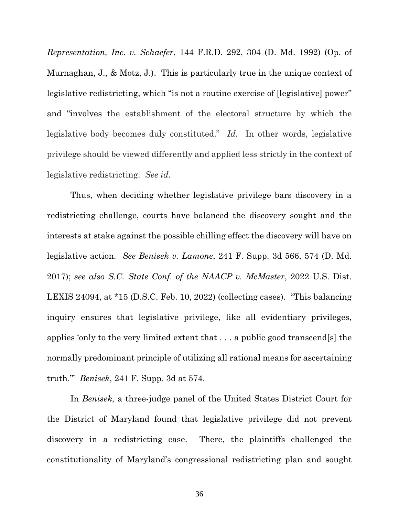*Representation, Inc. v. Schaefer*, 144 F.R.D. 292, 304 (D. Md. 1992) (Op. of Murnaghan, J., & Motz, J.). This is particularly true in the unique context of legislative redistricting, which "is not a routine exercise of [legislative] power" and "involves the establishment of the electoral structure by which the legislative body becomes duly constituted." *Id.* In other words, legislative privilege should be viewed differently and applied less strictly in the context of legislative redistricting. *See id.*

Thus, when deciding whether legislative privilege bars discovery in a redistricting challenge, courts have balanced the discovery sought and the interests at stake against the possible chilling effect the discovery will have on legislative action. *See Benisek v. Lamone*, 241 F. Supp. 3d 566, 574 (D. Md. 2017); *see also S.C. State Conf. of the NAACP v. McMaster*, 2022 U.S. Dist. LEXIS 24094, at \*15 (D.S.C. Feb. 10, 2022) (collecting cases). "This balancing inquiry ensures that legislative privilege, like all evidentiary privileges, applies 'only to the very limited extent that . . . a public good transcend[s] the normally predominant principle of utilizing all rational means for ascertaining truth.'" *Benisek*, 241 F. Supp. 3d at 574.

In *Benisek*, a three-judge panel of the United States District Court for the District of Maryland found that legislative privilege did not prevent discovery in a redistricting case. There, the plaintiffs challenged the constitutionality of Maryland's congressional redistricting plan and sought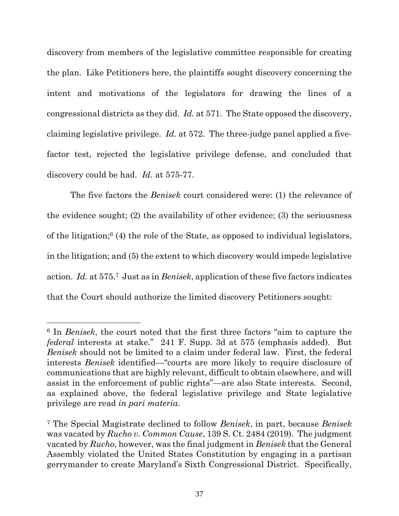discovery from members of the legislative committee responsible for creating the plan. Like Petitioners here, the plaintiffs sought discovery concerning the intent and motivations of the legislators for drawing the lines of a congressional districts as they did. *Id.* at 571. The State opposed the discovery, claiming legislative privilege. *Id.* at 572. The three-judge panel applied a fivefactor test, rejected the legislative privilege defense, and concluded that discovery could be had. *Id.* at 575-77.

The five factors the *Benisek* court considered were: (1) the relevance of the evidence sought; (2) the availability of other evidence; (3) the seriousness of the litigation;[6](#page-39-0) (4) the role of the State, as opposed to individual legislators, in the litigation; and (5) the extent to which discovery would impede legislative action. *Id.* at 575.[7](#page-39-1) Just as in *Benisek*, application of these five factors indicates that the Court should authorize the limited discovery Petitioners sought:

<span id="page-39-0"></span><sup>6</sup> In *Benisek*, the court noted that the first three factors "aim to capture the *federal* interests at stake." 241 F. Supp. 3d at 575 (emphasis added). But *Benisek* should not be limited to a claim under federal law. First, the federal interests *Benisek* identified—"courts are more likely to require disclosure of communications that are highly relevant, difficult to obtain elsewhere, and will assist in the enforcement of public rights"—are also State interests. Second, as explained above, the federal legislative privilege and State legislative privilege are read *in pari materia*.

<span id="page-39-1"></span><sup>7</sup> The Special Magistrate declined to follow *Benisek*, in part, because *Benisek* was vacated by *Rucho v. Common Cause*, 139 S. Ct. 2484 (2019). The judgment vacated by *Rucho*, however, was the final judgment in *Benisek* that the General Assembly violated the United States Constitution by engaging in a partisan gerrymander to create Maryland's Sixth Congressional District. Specifically,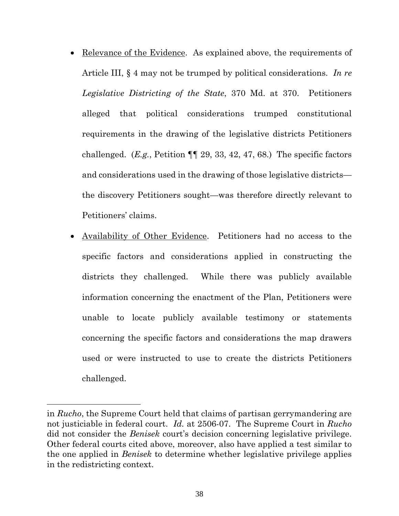- Relevance of the Evidence. As explained above, the requirements of Article III, § 4 may not be trumped by political considerations. *In re Legislative Districting of the State*, 370 Md. at 370. Petitioners alleged that political considerations trumped constitutional requirements in the drawing of the legislative districts Petitioners challenged. (*E.g.*, Petition ¶¶ 29, 33, 42, 47, 68.) The specific factors and considerations used in the drawing of those legislative districts the discovery Petitioners sought—was therefore directly relevant to Petitioners' claims.
- Availability of Other Evidence. Petitioners had no access to the specific factors and considerations applied in constructing the districts they challenged. While there was publicly available information concerning the enactment of the Plan, Petitioners were unable to locate publicly available testimony or statements concerning the specific factors and considerations the map drawers used or were instructed to use to create the districts Petitioners challenged.

in *Rucho*, the Supreme Court held that claims of partisan gerrymandering are not justiciable in federal court. *Id.* at 2506-07. The Supreme Court in *Rucho* did not consider the *Benisek* court's decision concerning legislative privilege. Other federal courts cited above, moreover, also have applied a test similar to the one applied in *Benisek* to determine whether legislative privilege applies in the redistricting context.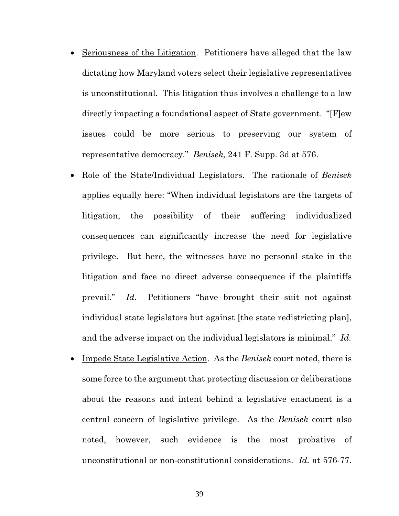- Seriousness of the Litigation. Petitioners have alleged that the law dictating how Maryland voters select their legislative representatives is unconstitutional. This litigation thus involves a challenge to a law directly impacting a foundational aspect of State government. "[F]ew issues could be more serious to preserving our system of representative democracy." *Benisek*, 241 F. Supp. 3d at 576.
- Role of the State/Individual Legislators. The rationale of *Benisek* applies equally here: "When individual legislators are the targets of litigation, the possibility of their suffering individualized consequences can significantly increase the need for legislative privilege. But here, the witnesses have no personal stake in the litigation and face no direct adverse consequence if the plaintiffs prevail." *Id.* Petitioners "have brought their suit not against individual state legislators but against [the state redistricting plan], and the adverse impact on the individual legislators is minimal." *Id.*
- Impede State Legislative Action. As the *Benisek* court noted, there is some force to the argument that protecting discussion or deliberations about the reasons and intent behind a legislative enactment is a central concern of legislative privilege. As the *Benisek* court also noted, however, such evidence is the most probative of unconstitutional or non-constitutional considerations. *Id.* at 576-77.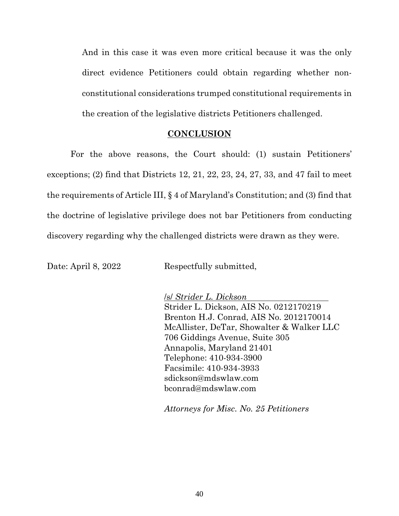And in this case it was even more critical because it was the only direct evidence Petitioners could obtain regarding whether nonconstitutional considerations trumped constitutional requirements in the creation of the legislative districts Petitioners challenged.

### **CONCLUSION**

For the above reasons, the Court should: (1) sustain Petitioners' exceptions; (2) find that Districts 12, 21, 22, 23, 24, 27, 33, and 47 fail to meet the requirements of Article III, § 4 of Maryland's Constitution; and (3) find that the doctrine of legislative privilege does not bar Petitioners from conducting discovery regarding why the challenged districts were drawn as they were.

Date: April 8, 2022 Respectfully submitted,

/s/ *Strider L. Dickson* Strider L. Dickson, AIS No. 0212170219 Brenton H.J. Conrad, AIS No. 2012170014 McAllister, DeTar, Showalter & Walker LLC 706 Giddings Avenue, Suite 305 Annapolis, Maryland 21401 Telephone: 410-934-3900 Facsimile: 410-934-3933 sdickson@mdswlaw.com bconrad@mdswlaw.com

*Attorneys for Misc. No. 25 Petitioners*